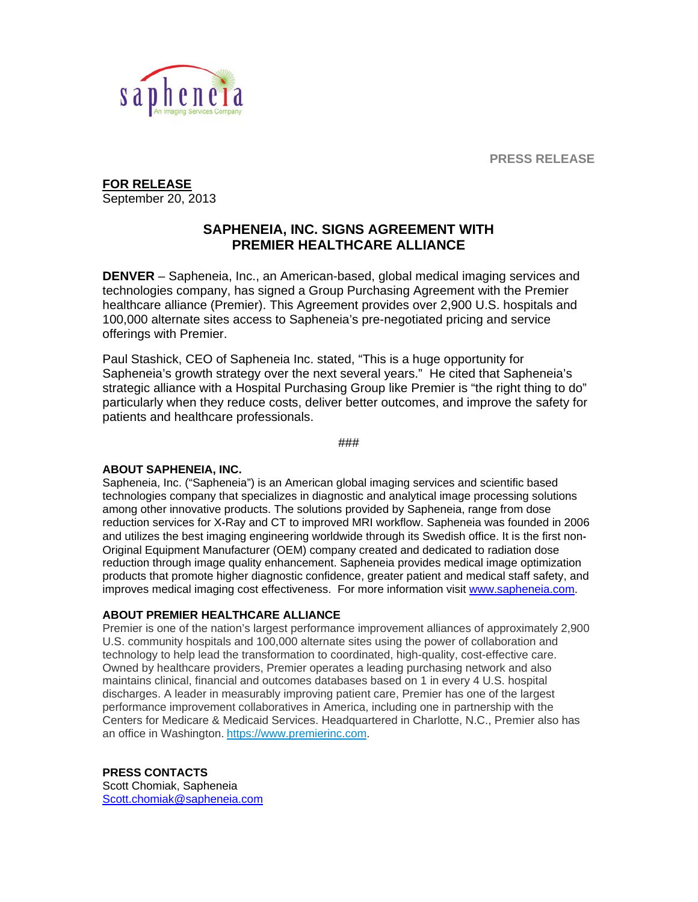**PRESS RELEASE** 



**FOR RELEASE**  September 20, 2013

## **SAPHENEIA, INC. SIGNS AGREEMENT WITH PREMIER HEALTHCARE ALLIANCE**

**DENVER** – Sapheneia, Inc., an American-based, global medical imaging services and technologies company, has signed a Group Purchasing Agreement with the Premier healthcare alliance (Premier). This Agreement provides over 2,900 U.S. hospitals and 100,000 alternate sites access to Sapheneia's pre-negotiated pricing and service offerings with Premier.

Paul Stashick, CEO of Sapheneia Inc. stated, "This is a huge opportunity for Sapheneia's growth strategy over the next several years." He cited that Sapheneia's strategic alliance with a Hospital Purchasing Group like Premier is "the right thing to do" particularly when they reduce costs, deliver better outcomes, and improve the safety for patients and healthcare professionals.

###

## **ABOUT SAPHENEIA, INC.**

Sapheneia, Inc. ("Sapheneia") is an American global imaging services and scientific based technologies company that specializes in diagnostic and analytical image processing solutions among other innovative products. The solutions provided by Sapheneia, range from dose reduction services for X**‐**Ray and CT to improved MRI workflow. Sapheneia was founded in 2006 and utilizes the best imaging engineering worldwide through its Swedish office. It is the first non**‐** Original Equipment Manufacturer (OEM) company created and dedicated to radiation dose reduction through image quality enhancement. Sapheneia provides medical image optimization products that promote higher diagnostic confidence, greater patient and medical staff safety, and improves medical imaging cost effectiveness. For more information visit www.sapheneia.com.

## **ABOUT PREMIER HEALTHCARE ALLIANCE**

Premier is one of the nation's largest performance improvement alliances of approximately 2,900 U.S. community hospitals and 100,000 alternate sites using the power of collaboration and technology to help lead the transformation to coordinated, high-quality, cost-effective care. Owned by healthcare providers, Premier operates a leading purchasing network and also maintains clinical, financial and outcomes databases based on 1 in every 4 U.S. hospital discharges. A leader in measurably improving patient care, Premier has one of the largest performance improvement collaboratives in America, including one in partnership with the Centers for Medicare & Medicaid Services. Headquartered in Charlotte, N.C., Premier also has an office in Washington. https://www.premierinc.com.

## **PRESS CONTACTS**

Scott Chomiak, Sapheneia Scott.chomiak@sapheneia.com